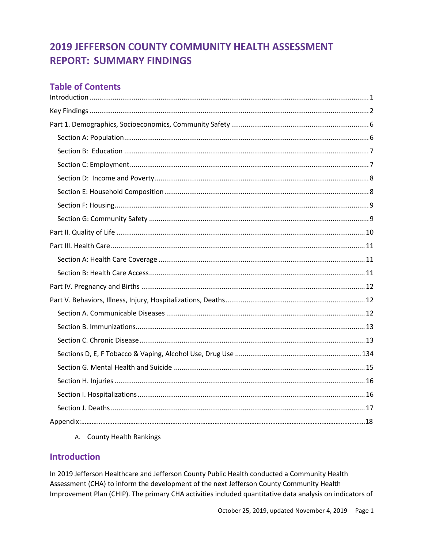#### **Table of Contents**

A. County Health Rankings

#### <span id="page-0-0"></span>**Introduction**

In 2019 Jefferson Healthcare and Jefferson County Public Health conducted a Community Health Assessment (CHA) to inform the development of the next Jefferson County Community Health Improvement Plan (CHIP). The primary CHA activities included quantitative data analysis on indicators of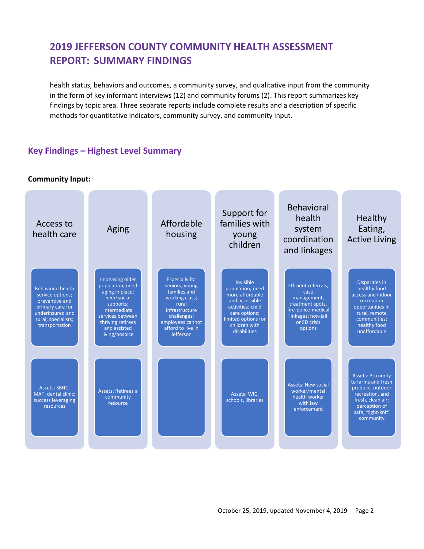health status, behaviors and outcomes, a community survey, and qualitative input from the community in the form of key informant interviews (12) and community forums (2). This report summarizes key findings by topic area. Three separate reports include complete results and a description of specific methods for quantitative indicators, community survey, and community input.

#### <span id="page-1-0"></span>**Key Findings – Highest Level Summary**

**Community Input:**

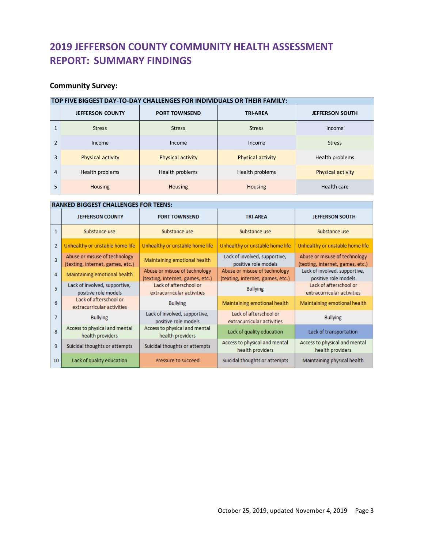#### **Community Survey:**

|                | TOP FIVE BIGGEST DAY-TO-DAY CHALLENGES FOR INDIVIDUALS OR THEIR FAMILY: |                      |                   |                          |  |  |  |  |  |  |  |
|----------------|-------------------------------------------------------------------------|----------------------|-------------------|--------------------------|--|--|--|--|--|--|--|
|                | <b>JEFFERSON COUNTY</b>                                                 | <b>PORT TOWNSEND</b> | <b>TRI-AREA</b>   | <b>JEFFERSON SOUTH</b>   |  |  |  |  |  |  |  |
| 1              | <b>Stress</b>                                                           | <b>Stress</b>        | <b>Stress</b>     | Income                   |  |  |  |  |  |  |  |
| $\mathfrak{p}$ | Income                                                                  | Income               | Income            | <b>Stress</b>            |  |  |  |  |  |  |  |
| 3              | Physical activity                                                       | Physical activity    | Physical activity | Health problems          |  |  |  |  |  |  |  |
| 4              | Health problems                                                         | Health problems      | Health problems   | <b>Physical activity</b> |  |  |  |  |  |  |  |
| 5              | <b>Housing</b>                                                          | Housing              | Housing           | Health care              |  |  |  |  |  |  |  |

#### **RANKED BIGGEST CHALLENGES FOR TEENS:**

|                | <b>JEFFERSON COUNTY</b>                                           | <b>PORT TOWNSEND</b>                                              | <b>TRI-AREA</b>                                                   | <b>JEFFERSON SOUTH</b>                                            |  |
|----------------|-------------------------------------------------------------------|-------------------------------------------------------------------|-------------------------------------------------------------------|-------------------------------------------------------------------|--|
| $\mathbf{1}$   | Substance use                                                     | Substance use                                                     | Substance use                                                     | Substance use                                                     |  |
| $\overline{2}$ | Unhealthy or unstable home life                                   | Unhealthy or unstable home life                                   | Unhealthy or unstable home life                                   | Unhealthy or unstable home life                                   |  |
| $\overline{3}$ | Abuse or misuse of technology<br>(texting, internet, games, etc.) | Maintaining emotional health                                      | Lack of involved, supportive,<br>positive role models             | Abuse or misuse of technology<br>(texting, internet, games, etc.) |  |
| 4              | Maintaining emotional health                                      | Abuse or misuse of technology<br>(texting, internet, games, etc.) | Abuse or misuse of technology<br>(texting, internet, games, etc.) | Lack of involved, supportive,<br>positive role models             |  |
| 5.             | Lack of involved, supportive,<br>positive role models             | Lack of afterschool or<br>extracurricular activities              | <b>Bullying</b>                                                   | Lack of afterschool or<br>extracurricular activities              |  |
| 6              | Lack of afterschool or<br>extracurricular activities              | <b>Bullying</b>                                                   | Maintaining emotional health                                      | Maintaining emotional health                                      |  |
| 7              | <b>Bullying</b>                                                   | Lack of involved, supportive,<br>positive role models             | Lack of afterschool or<br>extracurricular activities              | <b>Bullying</b>                                                   |  |
| 8              | Access to physical and mental<br>health providers                 | Access to physical and mental<br>health providers                 | Lack of quality education                                         | Lack of transportation                                            |  |
| 9              | Suicidal thoughts or attempts                                     | Suicidal thoughts or attempts                                     | Access to physical and mental<br>health providers                 | Access to physical and mental<br>health providers                 |  |
| 10             | Lack of quality education                                         | Pressure to succeed.                                              | Suicidal thoughts or attempts                                     | Maintaining physical health                                       |  |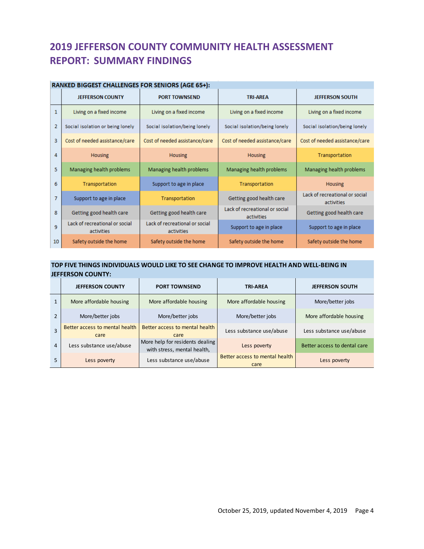#### **RANKED BIGGEST CHALLENGES FOR SENIORS (AGE 65+):**

|                | <b>JEFFERSON COUNTY</b>                      | <b>PORT TOWNSEND</b>                         | <b>TRI-AREA</b>                              | <b>JEFFERSON SOUTH</b>                       |
|----------------|----------------------------------------------|----------------------------------------------|----------------------------------------------|----------------------------------------------|
| $\mathbf{1}$   | Living on a fixed income                     | Living on a fixed income                     | Living on a fixed income                     | Living on a fixed income                     |
| $\overline{2}$ | Social isolation or being lonely             | Social isolation/being lonely                | Social isolation/being lonely                | Social isolation/being lonely                |
| 3              | Cost of needed assistance/care               | Cost of needed assistance/care               | Cost of needed assistance/care               | Cost of needed assistance/care               |
| 4              | <b>Housing</b>                               | <b>Housing</b>                               | <b>Housing</b>                               | Transportation                               |
| 5              | Managing health problems                     | Managing health problems                     | Managing health problems                     | Managing health problems                     |
| 6              | Transportation                               | Support to age in place                      | Transportation                               | <b>Housing</b>                               |
| $\overline{7}$ | Support to age in place                      | Transportation                               | Getting good health care                     | Lack of recreational or social<br>activities |
| 8              | Getting good health care                     | Getting good health care                     | Lack of recreational or social<br>activities | Getting good health care                     |
| 9              | Lack of recreational or social<br>activities | Lack of recreational or social<br>activities | Support to age in place                      | Support to age in place                      |
| 10             | Safety outside the home                      | Safety outside the home                      | Safety outside the home                      | Safety outside the home                      |

#### **TOP FIVE THINGS INDIVIDUALS WOULD LIKE TO SEE CHANGE TO IMPROVE HEALTH AND WELL-BEING IN JEFFERSON COUNTY:**

|   | .                                      |                                                                |                                        |                              |  |
|---|----------------------------------------|----------------------------------------------------------------|----------------------------------------|------------------------------|--|
|   | <b>JEFFERSON COUNTY</b>                | <b>PORT TOWNSEND</b>                                           | <b>TRI-AREA</b>                        | <b>JEFFERSON SOUTH</b>       |  |
| 1 | More affordable housing                | More affordable housing                                        | More affordable housing                | More/better jobs             |  |
|   | More/better jobs                       | More/better jobs                                               | More/better jobs                       | More affordable housing      |  |
| 3 | Better access to mental health<br>care | Better access to mental health<br>care                         | Less substance use/abuse               | Less substance use/abuse     |  |
| 4 | Less substance use/abuse               | More help for residents dealing<br>with stress, mental health, | Less poverty                           | Better access to dental care |  |
| 5 | Less poverty                           | Less substance use/abuse                                       | Better access to mental health<br>care | Less poverty                 |  |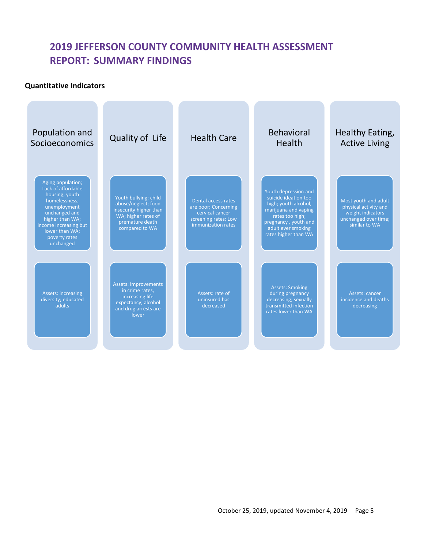#### **Quantitative Indicators**

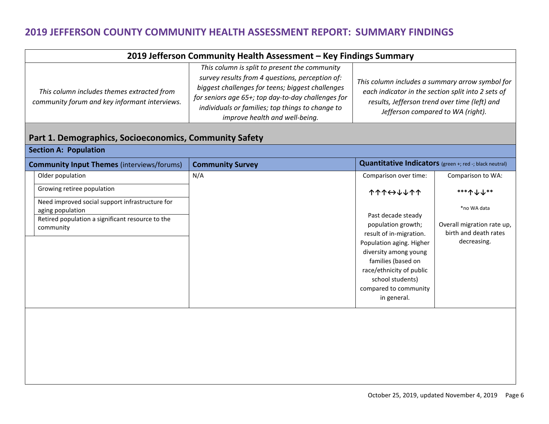| 2019 Jefferson Community Health Assessment - Key Findings Summary                           |                                                                                                                                                                                                                                                                                                  |                                                                                                                                                                                             |  |  |  |  |  |
|---------------------------------------------------------------------------------------------|--------------------------------------------------------------------------------------------------------------------------------------------------------------------------------------------------------------------------------------------------------------------------------------------------|---------------------------------------------------------------------------------------------------------------------------------------------------------------------------------------------|--|--|--|--|--|
| This column includes themes extracted from<br>community forum and key informant interviews. | This column is split to present the community<br>survey results from 4 questions, perception of:<br>biggest challenges for teens; biggest challenges<br>for seniors age 65+; top day-to-day challenges for<br>individuals or families; top things to change to<br>improve health and well-being. | This column includes a summary arrow symbol for<br>each indicator in the section split into 2 sets of<br>results, Jefferson trend over time (left) and<br>Jefferson compared to WA (right). |  |  |  |  |  |

#### **Part 1. Demographics, Socioeconomics, Community Safety Section A: Population**

<span id="page-5-0"></span>

| <b>JELLIUII A. FUUUIQUUII</b>                                                                                                        |                         |                                                                                                                                                                                                                                        |                                                                                   |  |  |  |  |  |  |
|--------------------------------------------------------------------------------------------------------------------------------------|-------------------------|----------------------------------------------------------------------------------------------------------------------------------------------------------------------------------------------------------------------------------------|-----------------------------------------------------------------------------------|--|--|--|--|--|--|
| <b>Community Input Themes (interviews/forums)</b>                                                                                    | <b>Community Survey</b> |                                                                                                                                                                                                                                        | <b>Quantitative Indicators</b> (green +; red -; black neutral)                    |  |  |  |  |  |  |
| Older population                                                                                                                     | N/A                     | Comparison over time:                                                                                                                                                                                                                  | Comparison to WA:                                                                 |  |  |  |  |  |  |
| Growing retiree population                                                                                                           |                         | <b>11444411</b>                                                                                                                                                                                                                        | ***个↓↓**                                                                          |  |  |  |  |  |  |
| Need improved social support infrastructure for<br>aging population<br>Retired population a significant resource to the<br>community |                         | Past decade steady<br>population growth;<br>result of in-migration.<br>Population aging. Higher<br>diversity among young<br>families (based on<br>race/ethnicity of public<br>school students)<br>compared to community<br>in general. | *no WA data<br>Overall migration rate up,<br>birth and death rates<br>decreasing. |  |  |  |  |  |  |
|                                                                                                                                      |                         |                                                                                                                                                                                                                                        |                                                                                   |  |  |  |  |  |  |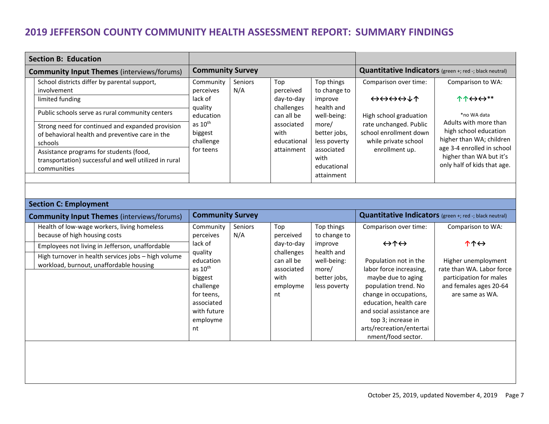| <b>Section B: Education</b> |                                                                                                                 |                                             |                |                                        |                                                 |                                                         |                                                                             |  |  |  |  |  |  |  |  |  |  |  |  |                     |                              |                                                |                                                                                 |
|-----------------------------|-----------------------------------------------------------------------------------------------------------------|---------------------------------------------|----------------|----------------------------------------|-------------------------------------------------|---------------------------------------------------------|-----------------------------------------------------------------------------|--|--|--|--|--|--|--|--|--|--|--|--|---------------------|------------------------------|------------------------------------------------|---------------------------------------------------------------------------------|
|                             | <b>Community Input Themes (interviews/forums)</b>                                                               | <b>Community Survey</b>                     |                |                                        |                                                 | Quantitative Indicators (green +; red -; black neutral) |                                                                             |  |  |  |  |  |  |  |  |  |  |  |  |                     |                              |                                                |                                                                                 |
|                             | School districts differ by parental support,<br>involvement<br>limited funding                                  | Community<br>perceives<br>lack of           | Seniors<br>N/A | Top<br>perceived<br>day-to-day         | Top things<br>to change to<br>improve           | Comparison over time:<br>⇔⇔⇔⇔↓↑                         | Comparison to WA:<br>$\uparrow \uparrow \leftrightarrow \leftrightarrow$ ** |  |  |  |  |  |  |  |  |  |  |  |  |                     |                              |                                                |                                                                                 |
|                             | Public schools serve as rural community centers                                                                 | quality<br>education                        |                | challenges<br>can all be<br>associated | health and<br>well-being:<br>more/              | High school graduation<br>rate unchanged. Public        | *no WA data<br>Adults with more than                                        |  |  |  |  |  |  |  |  |  |  |  |  |                     |                              |                                                |                                                                                 |
|                             | Strong need for continued and expanded provision<br>of behavioral health and preventive care in the<br>schools  | as $10^{\text{th}}$<br>biggest<br>challenge |                |                                        |                                                 |                                                         |                                                                             |  |  |  |  |  |  |  |  |  |  |  |  | with<br>educational | better jobs,<br>less poverty | school enrollment down<br>while private school | high school education<br>higher than WA; children<br>age 3-4 enrolled in school |
|                             | Assistance programs for students (food,<br>transportation) successful and well utilized in rural<br>communities | for teens                                   |                | attainment                             | associated<br>with<br>educational<br>attainment | enrollment up.                                          | higher than WA but it's<br>only half of kids that age.                      |  |  |  |  |  |  |  |  |  |  |  |  |                     |                              |                                                |                                                                                 |

<span id="page-6-2"></span><span id="page-6-1"></span><span id="page-6-0"></span>

| <b>Section C: Employment</b>                                                                   |                                                                                                                        |                       |                                                                  |                                                                    |                                                                                                                                                                                                                                                         |                                                                                                                          |  |
|------------------------------------------------------------------------------------------------|------------------------------------------------------------------------------------------------------------------------|-----------------------|------------------------------------------------------------------|--------------------------------------------------------------------|---------------------------------------------------------------------------------------------------------------------------------------------------------------------------------------------------------------------------------------------------------|--------------------------------------------------------------------------------------------------------------------------|--|
| <b>Community Input Themes (interviews/forums)</b>                                              | <b>Community Survey</b>                                                                                                |                       |                                                                  |                                                                    | Quantitative Indicators (green +; red -; black neutral)                                                                                                                                                                                                 |                                                                                                                          |  |
| Health of low-wage workers, living homeless<br>because of high housing costs                   | Community<br>perceives                                                                                                 | <b>Seniors</b><br>N/A | Top<br>perceived                                                 | Top things<br>to change to                                         | Comparison over time:                                                                                                                                                                                                                                   | Comparison to WA:                                                                                                        |  |
| Employees not living in Jefferson, unaffordable                                                | lack of                                                                                                                |                       | day-to-day                                                       | improve                                                            | $\leftrightarrow \uparrow \leftrightarrow$                                                                                                                                                                                                              | $\uparrow \uparrow \leftrightarrow$                                                                                      |  |
| High turnover in health services jobs - high volume<br>workload, burnout, unaffordable housing | quality<br>education<br>as $10th$<br>biggest<br>challenge<br>for teens,<br>associated<br>with future<br>employme<br>nt |                       | challenges<br>can all be<br>associated<br>with<br>employme<br>nt | health and<br>well-being:<br>more/<br>better jobs,<br>less poverty | Population not in the<br>labor force increasing,<br>maybe due to aging<br>population trend. No<br>change in occupations,<br>education, health care<br>and social assistance are<br>top 3; increase in<br>arts/recreation/entertai<br>nment/food sector. | Higher unemployment<br>rate than WA. Labor force<br>participation for males<br>and females ages 20-64<br>are same as WA. |  |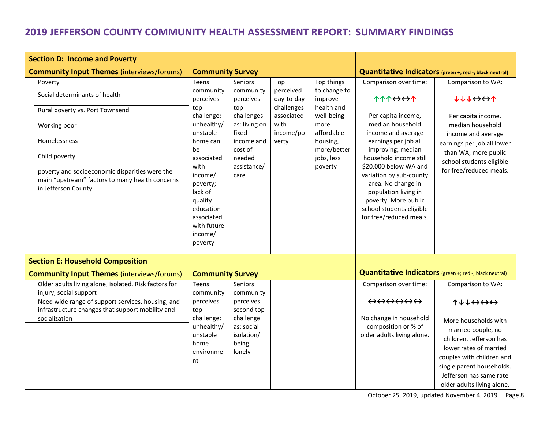<span id="page-7-1"></span><span id="page-7-0"></span>

| <b>Section D: Income and Poverty</b>                                                                                                                                                                                                                     |                                                                                                                                                                                                                           |                                                                                                                                             |                                                                                          |                                                                                                                                                 |                                                                                                                                                                                                                                                                                                                                                                 |                                                                                                                                                                                                                      |
|----------------------------------------------------------------------------------------------------------------------------------------------------------------------------------------------------------------------------------------------------------|---------------------------------------------------------------------------------------------------------------------------------------------------------------------------------------------------------------------------|---------------------------------------------------------------------------------------------------------------------------------------------|------------------------------------------------------------------------------------------|-------------------------------------------------------------------------------------------------------------------------------------------------|-----------------------------------------------------------------------------------------------------------------------------------------------------------------------------------------------------------------------------------------------------------------------------------------------------------------------------------------------------------------|----------------------------------------------------------------------------------------------------------------------------------------------------------------------------------------------------------------------|
| <b>Community Input Themes (interviews/forums)</b>                                                                                                                                                                                                        |                                                                                                                                                                                                                           | <b>Community Survey</b>                                                                                                                     |                                                                                          |                                                                                                                                                 |                                                                                                                                                                                                                                                                                                                                                                 | Quantitative Indicators (green +; red -; black neutral)                                                                                                                                                              |
| Poverty<br>Social determinants of health<br>Rural poverty vs. Port Townsend<br>Working poor<br>Homelessness<br>Child poverty<br>poverty and socioeconomic disparities were the<br>main "upstream" factors to many health concerns<br>in Jefferson County | Teens:<br>community<br>perceives<br>top<br>challenge:<br>unhealthy/<br>unstable<br>home can<br>be<br>associated<br>with<br>income/<br>poverty;<br>lack of<br>quality<br>education<br>associated<br>with future<br>income/ | Seniors:<br>community<br>perceives<br>top<br>challenges<br>as: living on<br>fixed<br>income and<br>cost of<br>needed<br>assistance/<br>care | Top<br>perceived<br>day-to-day<br>challenges<br>associated<br>with<br>income/po<br>verty | Top things<br>to change to<br>improve<br>health and<br>well-being $-$<br>more<br>affordable<br>housing,<br>more/better<br>jobs, less<br>poverty | Comparison over time:<br><b>1114001</b><br>Per capita income,<br>median household<br>income and average<br>earnings per job all<br>improving; median<br>household income still<br>\$20,000 below WA and<br>variation by sub-county<br>area. No change in<br>population living in<br>poverty. More public<br>school students eligible<br>for free/reduced meals. | Comparison to WA:<br><b>VATAGUL</b><br>Per capita income,<br>median household<br>income and average<br>earnings per job all lower<br>than WA; more public<br>school students eligible<br>for free/reduced meals.     |
|                                                                                                                                                                                                                                                          | poverty                                                                                                                                                                                                                   |                                                                                                                                             |                                                                                          |                                                                                                                                                 |                                                                                                                                                                                                                                                                                                                                                                 |                                                                                                                                                                                                                      |
| <b>Section E: Household Composition</b>                                                                                                                                                                                                                  |                                                                                                                                                                                                                           |                                                                                                                                             |                                                                                          |                                                                                                                                                 |                                                                                                                                                                                                                                                                                                                                                                 |                                                                                                                                                                                                                      |
| <b>Community Input Themes (interviews/forums)</b>                                                                                                                                                                                                        | <b>Community Survey</b>                                                                                                                                                                                                   |                                                                                                                                             |                                                                                          |                                                                                                                                                 | Quantitative Indicators (green +; red -; black neutral)                                                                                                                                                                                                                                                                                                         |                                                                                                                                                                                                                      |
| Older adults living alone, isolated. Risk factors for<br>injury, social support<br>Need wide range of support services, housing, and<br>infrastructure changes that support mobility and<br>socialization                                                | Teens:<br>community<br>perceives<br>top<br>challenge:<br>unhealthy/<br>unstable<br>home<br>environme<br>nt                                                                                                                | Seniors:<br>community<br>perceives<br>second top<br>challenge<br>as: social<br>isolation/<br>being<br>lonely                                |                                                                                          |                                                                                                                                                 | Comparison over time:<br>$\leftrightarrow \leftrightarrow \leftrightarrow \leftrightarrow \leftrightarrow$<br>No change in household<br>composition or % of<br>older adults living alone.                                                                                                                                                                       | Comparison to WA:<br>$T+1+1$<br>More households with<br>married couple, no<br>children. Jefferson has<br>lower rates of married<br>couples with children and<br>single parent households.<br>Jefferson has same rate |
|                                                                                                                                                                                                                                                          |                                                                                                                                                                                                                           |                                                                                                                                             |                                                                                          |                                                                                                                                                 |                                                                                                                                                                                                                                                                                                                                                                 | older adults living alone.                                                                                                                                                                                           |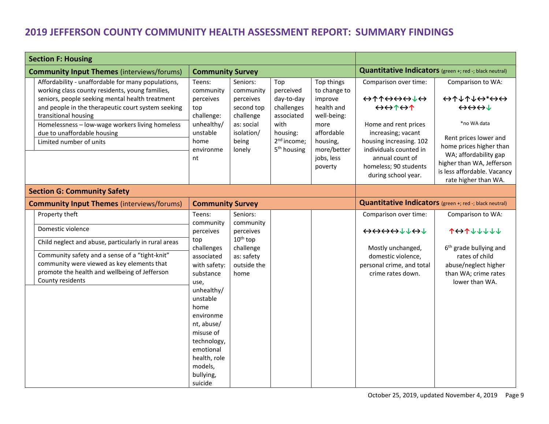<span id="page-8-1"></span><span id="page-8-0"></span>

| <b>Section F: Housing</b>                                                                                                                                                                                                                                                                                                                           |                                                                                                                                                                                                                               |                                                                                                              |                                                                                                                                      |                                                                                                                                              |                                                                                                                                                                                                                                                                                                                                           |                                                                                                                                                                                                                                                                                                                                                                      |
|-----------------------------------------------------------------------------------------------------------------------------------------------------------------------------------------------------------------------------------------------------------------------------------------------------------------------------------------------------|-------------------------------------------------------------------------------------------------------------------------------------------------------------------------------------------------------------------------------|--------------------------------------------------------------------------------------------------------------|--------------------------------------------------------------------------------------------------------------------------------------|----------------------------------------------------------------------------------------------------------------------------------------------|-------------------------------------------------------------------------------------------------------------------------------------------------------------------------------------------------------------------------------------------------------------------------------------------------------------------------------------------|----------------------------------------------------------------------------------------------------------------------------------------------------------------------------------------------------------------------------------------------------------------------------------------------------------------------------------------------------------------------|
| <b>Community Input Themes (interviews/forums)</b>                                                                                                                                                                                                                                                                                                   | <b>Community Survey</b>                                                                                                                                                                                                       |                                                                                                              |                                                                                                                                      |                                                                                                                                              | Quantitative Indicators (green +; red -; black neutral)                                                                                                                                                                                                                                                                                   |                                                                                                                                                                                                                                                                                                                                                                      |
| Affordability - unaffordable for many populations,<br>working class county residents, young families,<br>seniors, people seeking mental health treatment<br>and people in the therapeutic court system seeking<br>transitional housing<br>Homelessness - low-wage workers living homeless<br>due to unaffordable housing<br>Limited number of units | Teens:<br>community<br>perceives<br>top<br>challenge:<br>unhealthy/<br>unstable<br>home<br>environme<br>nt                                                                                                                    | Seniors:<br>community<br>perceives<br>second top<br>challenge<br>as: social<br>isolation/<br>being<br>lonely | Top<br>perceived<br>day-to-day<br>challenges<br>associated<br>with<br>housing:<br>2 <sup>nd</sup> income;<br>5 <sup>th</sup> housing | Top things<br>to change to<br>improve<br>health and<br>well-being:<br>more<br>affordable<br>housing,<br>more/better<br>jobs, less<br>poverty | Comparison over time:<br>$\leftrightarrow \uparrow \uparrow \leftrightarrow \leftrightarrow \downarrow \leftrightarrow$<br>$\leftrightarrow\leftrightarrow\uparrow\leftrightarrow\uparrow$<br>Home and rent prices<br>increasing; vacant<br>housing increasing. 102<br>individuals counted in<br>annual count of<br>homeless; 90 students | Comparison to WA:<br>$\leftrightarrow$ $\uparrow$ $\downarrow$ $\uparrow$ $\downarrow$ $\leftrightarrow$ $\leftrightarrow$ $\leftrightarrow$<br>$\leftrightarrow \leftrightarrow \leftrightarrow \downarrow$<br>*no WA data<br>Rent prices lower and<br>home prices higher than<br>WA; affordability gap<br>higher than WA, Jefferson<br>is less affordable. Vacancy |
|                                                                                                                                                                                                                                                                                                                                                     |                                                                                                                                                                                                                               |                                                                                                              |                                                                                                                                      |                                                                                                                                              | during school year.                                                                                                                                                                                                                                                                                                                       | rate higher than WA.                                                                                                                                                                                                                                                                                                                                                 |
| <b>Section G: Community Safety</b>                                                                                                                                                                                                                                                                                                                  |                                                                                                                                                                                                                               |                                                                                                              |                                                                                                                                      |                                                                                                                                              |                                                                                                                                                                                                                                                                                                                                           |                                                                                                                                                                                                                                                                                                                                                                      |
| <b>Community Input Themes (interviews/forums)</b>                                                                                                                                                                                                                                                                                                   | <b>Community Survey</b>                                                                                                                                                                                                       |                                                                                                              |                                                                                                                                      |                                                                                                                                              | Quantitative Indicators (green +; red -; black neutral)                                                                                                                                                                                                                                                                                   |                                                                                                                                                                                                                                                                                                                                                                      |
| Property theft<br>Domestic violence                                                                                                                                                                                                                                                                                                                 | Teens:<br>community<br>perceives                                                                                                                                                                                              | Seniors:<br>community<br>perceives                                                                           |                                                                                                                                      |                                                                                                                                              | Comparison over time:                                                                                                                                                                                                                                                                                                                     | Comparison to WA:<br><b>101111111</b>                                                                                                                                                                                                                                                                                                                                |
| Child neglect and abuse, particularly in rural areas<br>Community safety and a sense of a "tight-knit"<br>community were viewed as key elements that<br>promote the health and wellbeing of Jefferson<br>County residents                                                                                                                           | top<br>challenges<br>associated<br>with safety:<br>substance<br>use,<br>unhealthy/<br>unstable<br>home<br>environme<br>nt, abuse/<br>misuse of<br>technology,<br>emotional<br>health, role<br>models,<br>bullying,<br>suicide | $10^{\text{th}}$ top<br>challenge<br>as: safety<br>outside the<br>home                                       |                                                                                                                                      |                                                                                                                                              | Mostly unchanged,<br>domestic violence,<br>personal crime, and total<br>crime rates down.                                                                                                                                                                                                                                                 | 6 <sup>th</sup> grade bullying and<br>rates of child<br>abuse/neglect higher<br>than WA; crime rates<br>lower than WA.                                                                                                                                                                                                                                               |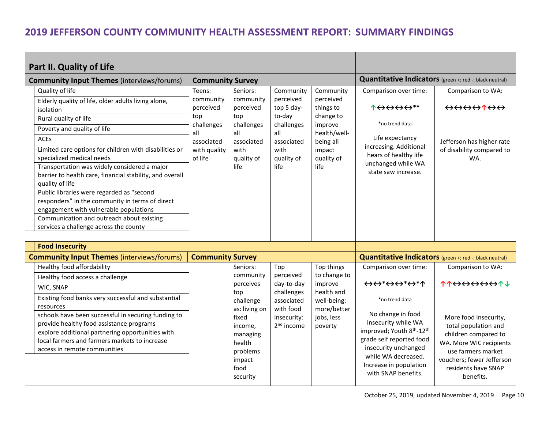<span id="page-9-0"></span>

| Part II. Quality of Life |                                                                                                                                                                                                                                      |                         |                                                                     |                                                    |                                      |                                                                                                                                                                          |                                                                                                                        |  |
|--------------------------|--------------------------------------------------------------------------------------------------------------------------------------------------------------------------------------------------------------------------------------|-------------------------|---------------------------------------------------------------------|----------------------------------------------------|--------------------------------------|--------------------------------------------------------------------------------------------------------------------------------------------------------------------------|------------------------------------------------------------------------------------------------------------------------|--|
|                          | <b>Community Input Themes (interviews/forums)</b>                                                                                                                                                                                    | <b>Community Survey</b> |                                                                     |                                                    |                                      | Quantitative Indicators (green +; red -; black neutral)                                                                                                                  |                                                                                                                        |  |
|                          | Quality of life                                                                                                                                                                                                                      | Teens:                  | Seniors:                                                            | Community                                          | Community                            | Comparison over time:                                                                                                                                                    | Comparison to WA:                                                                                                      |  |
|                          | Elderly quality of life, older adults living alone,<br>isolation                                                                                                                                                                     | community<br>perceived  | community<br>perceived                                              | perceived<br>top 5 day-                            | perceived<br>things to               | $\uparrow \leftrightarrow \leftrightarrow \leftrightarrow **$                                                                                                            | $\leftrightarrow \leftrightarrow \leftrightarrow \land \leftrightarrow \leftrightarrow$                                |  |
|                          | Rural quality of life                                                                                                                                                                                                                | top<br>challenges       | top<br>challenges                                                   | to-day<br>challenges                               | change to<br>improve                 | *no trend data                                                                                                                                                           |                                                                                                                        |  |
|                          | Poverty and quality of life                                                                                                                                                                                                          | all                     | all                                                                 | all                                                | health/well-                         |                                                                                                                                                                          |                                                                                                                        |  |
|                          | <b>ACEs</b>                                                                                                                                                                                                                          | associated              | associated                                                          | associated                                         | being all                            | Life expectancy                                                                                                                                                          | Jefferson has higher rate                                                                                              |  |
|                          | Limited care options for children with disabilities or<br>specialized medical needs                                                                                                                                                  | with quality<br>of life | with<br>quality of                                                  | with<br>quality of                                 | impact<br>quality of                 | increasing. Additional<br>hears of healthy life                                                                                                                          | of disability compared to<br>WA.                                                                                       |  |
|                          | Transportation was widely considered a major<br>barrier to health care, financial stability, and overall<br>quality of life                                                                                                          |                         | life                                                                | life                                               | life                                 | unchanged while WA<br>state saw increase.                                                                                                                                |                                                                                                                        |  |
|                          | Public libraries were regarded as "second<br>responders" in the community in terms of direct<br>engagement with vulnerable populations<br>Communication and outreach about existing                                                  |                         |                                                                     |                                                    |                                      |                                                                                                                                                                          |                                                                                                                        |  |
|                          | services a challenge across the county                                                                                                                                                                                               |                         |                                                                     |                                                    |                                      |                                                                                                                                                                          |                                                                                                                        |  |
|                          |                                                                                                                                                                                                                                      |                         |                                                                     |                                                    |                                      |                                                                                                                                                                          |                                                                                                                        |  |
|                          | <b>Food Insecurity</b>                                                                                                                                                                                                               |                         |                                                                     |                                                    |                                      |                                                                                                                                                                          |                                                                                                                        |  |
|                          | <b>Community Input Themes (interviews/forums)</b><br>Healthy food affordability                                                                                                                                                      | <b>Community Survey</b> | Seniors:                                                            |                                                    |                                      | Quantitative Indicators (green +; red -; black neutral)                                                                                                                  |                                                                                                                        |  |
|                          |                                                                                                                                                                                                                                      |                         | community                                                           | Top<br>perceived                                   | Top things<br>to change to           | Comparison over time:                                                                                                                                                    | Comparison to WA:                                                                                                      |  |
|                          | Healthy food access a challenge                                                                                                                                                                                                      |                         | perceives                                                           | day-to-day                                         | improve                              | $\leftrightarrow$ $\leftrightarrow$ $\leftrightarrow$ $\leftrightarrow$ $\leftrightarrow$ $\leftrightarrow$ $\uparrow$                                                   | <b>11<del>000000</del>1</b>                                                                                            |  |
|                          | WIC, SNAP                                                                                                                                                                                                                            |                         | top                                                                 | challenges                                         | health and                           |                                                                                                                                                                          |                                                                                                                        |  |
|                          | Existing food banks very successful and substantial<br>resources                                                                                                                                                                     |                         | challenge                                                           | associated                                         | well-being:                          | *no trend data                                                                                                                                                           |                                                                                                                        |  |
|                          | schools have been successful in securing funding to<br>provide healthy food assistance programs<br>explore additional partnering opportunities with<br>local farmers and farmers markets to increase<br>access in remote communities |                         | as: living on<br>fixed<br>income,<br>managing<br>health<br>problems | with food<br>insecurity:<br>2 <sup>nd</sup> income | more/better<br>jobs, less<br>poverty | No change in food<br>insecurity while WA<br>improved; Youth 8 <sup>th</sup> -12 <sup>th</sup><br>grade self reported food<br>insecurity unchanged<br>while WA decreased. | More food insecurity,<br>total population and<br>children compared to<br>WA. More WIC recipients<br>use farmers market |  |
|                          |                                                                                                                                                                                                                                      |                         | impact<br>food<br>security                                          |                                                    |                                      | Increase in population<br>with SNAP benefits.                                                                                                                            | vouchers; fewer Jefferson<br>residents have SNAP<br>benefits.                                                          |  |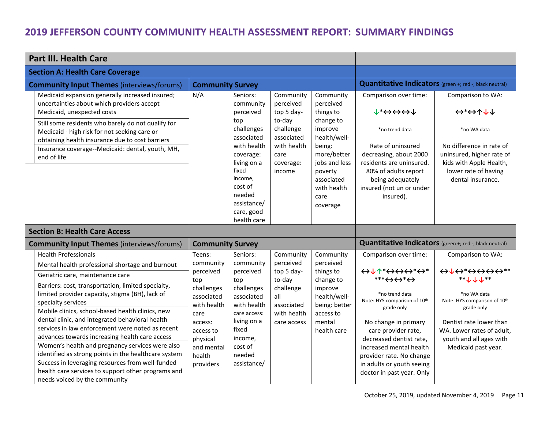<span id="page-10-2"></span><span id="page-10-1"></span><span id="page-10-0"></span>

| <b>Part III. Health Care</b>                                                                                                                                                                                                                                                                                                                                                                                                                                                                                                                                                                   |                                                                                                                                 |                                                                                                                                                                                                       |                                                                                                                         |                                                                                                                                                                                   |                                                                                                                                                                                                                                                                       |                                                                                                                                                                                                                                     |  |
|------------------------------------------------------------------------------------------------------------------------------------------------------------------------------------------------------------------------------------------------------------------------------------------------------------------------------------------------------------------------------------------------------------------------------------------------------------------------------------------------------------------------------------------------------------------------------------------------|---------------------------------------------------------------------------------------------------------------------------------|-------------------------------------------------------------------------------------------------------------------------------------------------------------------------------------------------------|-------------------------------------------------------------------------------------------------------------------------|-----------------------------------------------------------------------------------------------------------------------------------------------------------------------------------|-----------------------------------------------------------------------------------------------------------------------------------------------------------------------------------------------------------------------------------------------------------------------|-------------------------------------------------------------------------------------------------------------------------------------------------------------------------------------------------------------------------------------|--|
| <b>Section A: Health Care Coverage</b>                                                                                                                                                                                                                                                                                                                                                                                                                                                                                                                                                         |                                                                                                                                 |                                                                                                                                                                                                       |                                                                                                                         |                                                                                                                                                                                   |                                                                                                                                                                                                                                                                       |                                                                                                                                                                                                                                     |  |
| <b>Community Input Themes (interviews/forums)</b>                                                                                                                                                                                                                                                                                                                                                                                                                                                                                                                                              | <b>Community Survey</b>                                                                                                         |                                                                                                                                                                                                       |                                                                                                                         |                                                                                                                                                                                   | Quantitative Indicators (green +; red -; black neutral)                                                                                                                                                                                                               |                                                                                                                                                                                                                                     |  |
| Medicaid expansion generally increased insured;<br>uncertainties about which providers accept<br>Medicaid, unexpected costs<br>Still some residents who barely do not qualify for<br>Medicaid - high risk for not seeking care or<br>obtaining health insurance due to cost barriers<br>Insurance coverage--Medicaid: dental, youth, MH,<br>end of life                                                                                                                                                                                                                                        | N/A                                                                                                                             | Seniors:<br>community<br>perceived<br>top<br>challenges<br>associated<br>with health<br>coverage:<br>living on a<br>fixed<br>income,<br>cost of<br>needed<br>assistance/<br>care, good<br>health care | Community<br>perceived<br>top 5 day-<br>to-day<br>challenge<br>associated<br>with health<br>care<br>coverage:<br>income | Community<br>perceived<br>things to<br>change to<br>improve<br>health/well-<br>being:<br>more/better<br>jobs and less<br>poverty<br>associated<br>with health<br>care<br>coverage | Comparison over time:<br>$v^* \leftrightarrow \leftrightarrow \leftrightarrow \psi$<br>*no trend data<br>Rate of uninsured<br>decreasing, about 2000<br>residents are uninsured.<br>80% of adults report<br>being adequately<br>insured (not un or under<br>insured). | Comparison to WA:<br>$\leftrightarrow^*\leftrightarrow\uparrow\downarrow\downarrow$<br>*no WA data<br>No difference in rate of<br>uninsured, higher rate of<br>kids with Apple Health,<br>lower rate of having<br>dental insurance. |  |
| <b>Section B: Health Care Access</b>                                                                                                                                                                                                                                                                                                                                                                                                                                                                                                                                                           |                                                                                                                                 |                                                                                                                                                                                                       |                                                                                                                         |                                                                                                                                                                                   |                                                                                                                                                                                                                                                                       |                                                                                                                                                                                                                                     |  |
| <b>Community Input Themes (interviews/forums)</b>                                                                                                                                                                                                                                                                                                                                                                                                                                                                                                                                              | <b>Community Survey</b>                                                                                                         |                                                                                                                                                                                                       |                                                                                                                         |                                                                                                                                                                                   | Quantitative Indicators (green +; red -; black neutral)                                                                                                                                                                                                               |                                                                                                                                                                                                                                     |  |
| <b>Health Professionals</b>                                                                                                                                                                                                                                                                                                                                                                                                                                                                                                                                                                    | Teens:                                                                                                                          | Seniors:                                                                                                                                                                                              | Community                                                                                                               | Community                                                                                                                                                                         | Comparison over time:                                                                                                                                                                                                                                                 | Comparison to WA:                                                                                                                                                                                                                   |  |
| Mental health professional shortage and burnout<br>Geriatric care, maintenance care                                                                                                                                                                                                                                                                                                                                                                                                                                                                                                            | community<br>perceived                                                                                                          | community<br>perceived                                                                                                                                                                                | perceived<br>top 5 day-                                                                                                 | perceived<br>things to                                                                                                                                                            | $\leftrightarrow\downarrow\uparrow^*\leftrightarrow\leftrightarrow\leftrightarrow^*\leftrightarrow^*$<br>$***\leftrightarrow\leftrightarrow*\leftrightarrow$                                                                                                          | $\leftrightarrow \downarrow \leftrightarrow^* \leftrightarrow \leftrightarrow \leftrightarrow^*$<br>** $+ + +$                                                                                                                      |  |
| Barriers: cost, transportation, limited specialty,<br>limited provider capacity, stigma (BH), lack of<br>specialty services<br>Mobile clinics, school-based health clinics, new<br>dental clinic, and integrated behavioral health<br>services in law enforcement were noted as recent<br>advances towards increasing health care access<br>Women's health and pregnancy services were also<br>identified as strong points in the healthcare system<br>Success in leveraging resources from well-funded<br>health care services to support other programs and<br>needs voiced by the community | top<br>challenges<br>associated<br>with health<br>care<br>access:<br>access to<br>physical<br>and mental<br>health<br>providers | top<br>challenges<br>associated<br>with health<br>care access:<br>living on a<br>fixed<br>income,<br>cost of<br>needed<br>assistance/                                                                 | to-day<br>challenge<br>all<br>associated<br>with health<br>care access                                                  | change to<br>improve<br>health/well-<br>being: better<br>access to<br>mental<br>health care                                                                                       | *no trend data<br>Note: HYS comparison of 10 <sup>th</sup><br>grade only<br>No change in primary<br>care provider rate,<br>decreased dentist rate,<br>increased mental health<br>provider rate. No change<br>in adults or youth seeing<br>doctor in past year. Only   | *no WA data<br>Note: HYS comparison of 10 <sup>th</sup><br>grade only<br>Dentist rate lower than<br>WA. Lower rates of adult,<br>youth and all ages with<br>Medicaid past year.                                                     |  |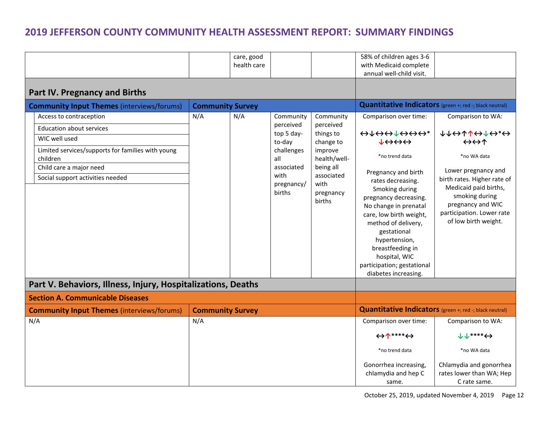<span id="page-11-2"></span><span id="page-11-1"></span><span id="page-11-0"></span>

|                                                               |                         | care, good<br>health care |                              |                                           | 58% of children ages 3-6<br>with Medicaid complete<br>annual well-child visit.                                                                                                                                                                                     |                                                                                                                                                  |
|---------------------------------------------------------------|-------------------------|---------------------------|------------------------------|-------------------------------------------|--------------------------------------------------------------------------------------------------------------------------------------------------------------------------------------------------------------------------------------------------------------------|--------------------------------------------------------------------------------------------------------------------------------------------------|
| Part IV. Pregnancy and Births                                 |                         |                           |                              |                                           |                                                                                                                                                                                                                                                                    |                                                                                                                                                  |
| <b>Community Input Themes (interviews/forums)</b>             | <b>Community Survey</b> |                           |                              |                                           | Quantitative Indicators (green +; red -; black neutral)                                                                                                                                                                                                            |                                                                                                                                                  |
| Access to contraception                                       | N/A                     | N/A                       | Community                    | Community                                 | Comparison over time:                                                                                                                                                                                                                                              | Comparison to WA:                                                                                                                                |
| <b>Education about services</b>                               |                         |                           | perceived<br>top 5 day-      | perceived                                 |                                                                                                                                                                                                                                                                    | <b>↓↓⇔↑↑←↓←*←</b>                                                                                                                                |
| WIC well used                                                 |                         |                           | to-day                       | things to<br>change to                    | $\downarrow \leftrightarrow \leftrightarrow \leftrightarrow$                                                                                                                                                                                                       | $\leftrightarrow\leftrightarrow\uparrow$                                                                                                         |
| Limited services/supports for families with young<br>children |                         |                           | challenges<br>all            | improve<br>health/well-                   | *no trend data                                                                                                                                                                                                                                                     | *no WA data                                                                                                                                      |
| Child care a major need                                       |                         |                           | associated                   | being all                                 | Pregnancy and birth                                                                                                                                                                                                                                                | Lower pregnancy and                                                                                                                              |
| Social support activities needed                              |                         |                           | with<br>pregnancy/<br>births | associated<br>with<br>pregnancy<br>births | rates decreasing.<br>Smoking during<br>pregnancy decreasing.<br>No change in prenatal<br>care, low birth weight,<br>method of delivery,<br>gestational<br>hypertension,<br>breastfeeding in<br>hospital, WIC<br>participation; gestational<br>diabetes increasing. | birth rates. Higher rate of<br>Medicaid paid births,<br>smoking during<br>pregnancy and WIC<br>participation. Lower rate<br>of low birth weight. |
| Part V. Behaviors, Illness, Injury, Hospitalizations, Deaths  |                         |                           |                              |                                           |                                                                                                                                                                                                                                                                    |                                                                                                                                                  |
| <b>Section A. Communicable Diseases</b>                       |                         |                           |                              |                                           |                                                                                                                                                                                                                                                                    |                                                                                                                                                  |
| <b>Community Input Themes (interviews/forums)</b>             | <b>Community Survey</b> |                           |                              |                                           | <b>Quantitative Indicators</b> (green +; red -; black neutral)                                                                                                                                                                                                     |                                                                                                                                                  |
| N/A                                                           | N/A                     |                           |                              |                                           | Comparison over time:                                                                                                                                                                                                                                              | Comparison to WA:                                                                                                                                |
|                                                               |                         |                           |                              |                                           | $\leftrightarrow \Upsilon***$                                                                                                                                                                                                                                      | $J J$ ****< $\leftrightarrow$                                                                                                                    |
|                                                               |                         |                           |                              |                                           | *no trend data                                                                                                                                                                                                                                                     | *no WA data                                                                                                                                      |
|                                                               |                         |                           |                              |                                           | Gonorrhea increasing,<br>chlamydia and hep C<br>same.                                                                                                                                                                                                              | Chlamydia and gonorrhea<br>rates lower than WA; Hep<br>C rate same.                                                                              |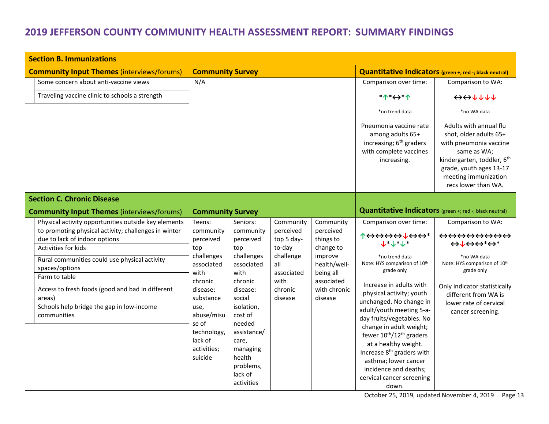<span id="page-12-2"></span><span id="page-12-1"></span><span id="page-12-0"></span>

| <b>Section B. Immunizations</b>                                                                                                                                                                                                                                                                                                                                                    |                                                                                                                                                                                                                                                                                                                                                                                                                                             |                                                                                                                |                                                                                                                                   |                                                                                                                                                                                                                                                                                                                                                                                                                                                                                                    |                                                                                                                                                                                                                                                                                                                                                                            |  |  |
|------------------------------------------------------------------------------------------------------------------------------------------------------------------------------------------------------------------------------------------------------------------------------------------------------------------------------------------------------------------------------------|---------------------------------------------------------------------------------------------------------------------------------------------------------------------------------------------------------------------------------------------------------------------------------------------------------------------------------------------------------------------------------------------------------------------------------------------|----------------------------------------------------------------------------------------------------------------|-----------------------------------------------------------------------------------------------------------------------------------|----------------------------------------------------------------------------------------------------------------------------------------------------------------------------------------------------------------------------------------------------------------------------------------------------------------------------------------------------------------------------------------------------------------------------------------------------------------------------------------------------|----------------------------------------------------------------------------------------------------------------------------------------------------------------------------------------------------------------------------------------------------------------------------------------------------------------------------------------------------------------------------|--|--|
| <b>Community Input Themes (interviews/forums)</b>                                                                                                                                                                                                                                                                                                                                  | <b>Community Survey</b>                                                                                                                                                                                                                                                                                                                                                                                                                     |                                                                                                                |                                                                                                                                   |                                                                                                                                                                                                                                                                                                                                                                                                                                                                                                    | Quantitative Indicators (green +; red -; black neutral)                                                                                                                                                                                                                                                                                                                    |  |  |
| Some concern about anti-vaccine views                                                                                                                                                                                                                                                                                                                                              | N/A                                                                                                                                                                                                                                                                                                                                                                                                                                         |                                                                                                                |                                                                                                                                   | Comparison over time:                                                                                                                                                                                                                                                                                                                                                                                                                                                                              | Comparison to WA:                                                                                                                                                                                                                                                                                                                                                          |  |  |
| Traveling vaccine clinic to schools a strength                                                                                                                                                                                                                                                                                                                                     |                                                                                                                                                                                                                                                                                                                                                                                                                                             |                                                                                                                |                                                                                                                                   | *1*<>*1                                                                                                                                                                                                                                                                                                                                                                                                                                                                                            | $\leftrightarrow\leftrightarrow\uparrow\uparrow\uparrow\uparrow$                                                                                                                                                                                                                                                                                                           |  |  |
|                                                                                                                                                                                                                                                                                                                                                                                    |                                                                                                                                                                                                                                                                                                                                                                                                                                             |                                                                                                                |                                                                                                                                   | *no trend data                                                                                                                                                                                                                                                                                                                                                                                                                                                                                     | *no WA data                                                                                                                                                                                                                                                                                                                                                                |  |  |
|                                                                                                                                                                                                                                                                                                                                                                                    |                                                                                                                                                                                                                                                                                                                                                                                                                                             |                                                                                                                |                                                                                                                                   | Pneumonia vaccine rate<br>among adults 65+<br>increasing; $6th$ graders<br>with complete vaccines<br>increasing.                                                                                                                                                                                                                                                                                                                                                                                   | Adults with annual flu<br>shot, older adults 65+<br>with pneumonia vaccine<br>same as WA;<br>kindergarten, toddler, 6 <sup>th</sup><br>grade, youth ages 13-17<br>meeting immunization<br>recs lower than WA.                                                                                                                                                              |  |  |
| <b>Section C. Chronic Disease</b>                                                                                                                                                                                                                                                                                                                                                  |                                                                                                                                                                                                                                                                                                                                                                                                                                             |                                                                                                                |                                                                                                                                   |                                                                                                                                                                                                                                                                                                                                                                                                                                                                                                    |                                                                                                                                                                                                                                                                                                                                                                            |  |  |
| <b>Community Input Themes (interviews/forums)</b>                                                                                                                                                                                                                                                                                                                                  | <b>Community Survey</b>                                                                                                                                                                                                                                                                                                                                                                                                                     |                                                                                                                |                                                                                                                                   | Quantitative Indicators (green +; red -; black neutral)                                                                                                                                                                                                                                                                                                                                                                                                                                            |                                                                                                                                                                                                                                                                                                                                                                            |  |  |
| Physical activity opportunities outside key elements<br>to promoting physical activity; challenges in winter<br>due to lack of indoor options<br>Activities for kids<br>Rural communities could use physical activity<br>spaces/options<br>Farm to table<br>Access to fresh foods (good and bad in different<br>areas)<br>Schools help bridge the gap in low-income<br>communities | Seniors:<br>Teens:<br>community<br>community<br>perceived<br>perceived<br>top<br>top<br>challenges<br>challenges<br>associated<br>associated<br>with<br>with<br>chronic<br>chronic<br>disease:<br>disease:<br>social<br>substance<br>isolation,<br>use,<br>cost of<br>abuse/misu<br>se of<br>needed<br>assistance/<br>technology,<br>lack of<br>care,<br>activities;<br>managing<br>health<br>suicide<br>problems,<br>lack of<br>activities | Community<br>perceived<br>top 5 day-<br>to-day<br>challenge<br>all<br>associated<br>with<br>chronic<br>disease | Community<br>perceived<br>things to<br>change to<br>improve<br>health/well-<br>being all<br>associated<br>with chronic<br>disease | Comparison over time:<br>↑⇔⇔⇔⇔↓↔⇔<br>$+ + + + +$<br>*no trend data<br>Note: HYS comparison of 10th<br>grade only<br>Increase in adults with<br>physical activity; youth<br>unchanged. No change in<br>adult/youth meeting 5-a-<br>day fruits/vegetables. No<br>change in adult weight;<br>fewer 10 <sup>th</sup> /12 <sup>th</sup> graders<br>at a healthy weight.<br>Increase 8 <sup>th</sup> graders with<br>asthma; lower cancer<br>incidence and deaths;<br>cervical cancer screening<br>down. | Comparison to WA:<br>$\leftrightarrow \leftrightarrow \leftrightarrow \leftrightarrow \leftrightarrow \leftrightarrow$<br>$\leftrightarrow\downarrow\leftrightarrow\leftrightarrow^*\leftrightarrow^*$<br>*no WA data<br>Note: HYS comparison of 10th<br>grade only<br>Only indicator statistically<br>different from WA is<br>lower rate of cervical<br>cancer screening. |  |  |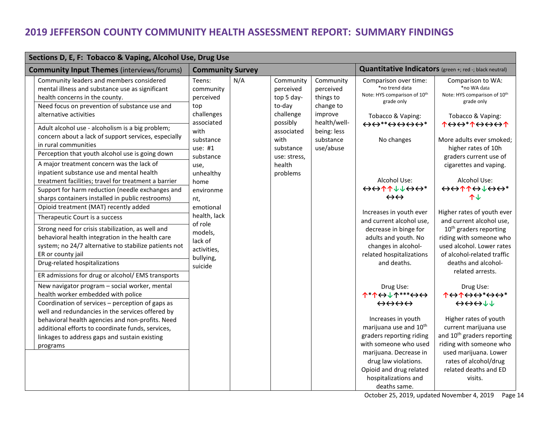| Sections D, E, F: Tobacco & Vaping, Alcohol Use, Drug Use |                                                                                                                                                                                                                                                                                                                                                                                                                                                                                                                                                                                                                                                                                                                                      |                                                                                                                                                                                                |     |                                                                                                                                                  |                                                                                                                      |                                                                                                                                                                                                                                                                                                                                                                                                     |                                                                                                                                                                                                                                                                                                                                                                   |
|-----------------------------------------------------------|--------------------------------------------------------------------------------------------------------------------------------------------------------------------------------------------------------------------------------------------------------------------------------------------------------------------------------------------------------------------------------------------------------------------------------------------------------------------------------------------------------------------------------------------------------------------------------------------------------------------------------------------------------------------------------------------------------------------------------------|------------------------------------------------------------------------------------------------------------------------------------------------------------------------------------------------|-----|--------------------------------------------------------------------------------------------------------------------------------------------------|----------------------------------------------------------------------------------------------------------------------|-----------------------------------------------------------------------------------------------------------------------------------------------------------------------------------------------------------------------------------------------------------------------------------------------------------------------------------------------------------------------------------------------------|-------------------------------------------------------------------------------------------------------------------------------------------------------------------------------------------------------------------------------------------------------------------------------------------------------------------------------------------------------------------|
|                                                           | <b>Community Input Themes (interviews/forums)</b>                                                                                                                                                                                                                                                                                                                                                                                                                                                                                                                                                                                                                                                                                    | <b>Community Survey</b>                                                                                                                                                                        |     |                                                                                                                                                  |                                                                                                                      | Quantitative Indicators (green +; red -; black neutral)                                                                                                                                                                                                                                                                                                                                             |                                                                                                                                                                                                                                                                                                                                                                   |
|                                                           | Community leaders and members considered<br>mental illness and substance use as significant<br>health concerns in the county.<br>Need focus on prevention of substance use and<br>alternative activities<br>Adult alcohol use - alcoholism is a big problem;<br>concern about a lack of support services, especially<br>in rural communities<br>Perception that youth alcohol use is going down<br>A major treatment concern was the lack of<br>inpatient substance use and mental health<br>treatment facilities; travel for treatment a barrier<br>Support for harm reduction (needle exchanges and<br>sharps containers installed in public restrooms)<br>Opioid treatment (MAT) recently added<br>Therapeutic Court is a success | Teens:<br>community<br>perceived<br>top<br>challenges<br>associated<br>with<br>substance<br>use: #1<br>substance<br>use,<br>unhealthy<br>home<br>environme<br>nt,<br>emotional<br>health, lack | N/A | Community<br>perceived<br>top 5 day-<br>to-day<br>challenge<br>possibly<br>associated<br>with<br>substance<br>use: stress,<br>health<br>problems | Community<br>perceived<br>things to<br>change to<br>improve<br>health/well-<br>being: less<br>substance<br>use/abuse | Comparison over time:<br>*no trend data<br>Note: HYS comparison of 10th<br>grade only<br>Tobacco & Vaping:<br>$\leftrightarrow$ $\leftrightarrow$ $\leftrightarrow$ $\leftrightarrow$ $\leftrightarrow$ $\leftrightarrow$ $\leftrightarrow$ $\leftrightarrow$<br>No changes<br>Alcohol Use:<br>↔↔↑↑↓↓↔↔*<br>$\leftrightarrow\leftrightarrow$<br>Increases in youth ever<br>and current alcohol use, | Comparison to WA:<br>*no WA data<br>Note: HYS comparison of 10th<br>grade only<br>Tobacco & Vaping:<br><b>1&lt;&gt;&lt;&gt;*1&lt;&gt;&lt;&gt;&gt;&lt;&gt;</b><br>More adults ever smoked;<br>higher rates of 10h<br>graders current use of<br>cigarettes and vaping.<br>Alcohol Use:<br>↔↔↑↑↔↓↔↔*<br>个业<br>Higher rates of youth ever<br>and current alcohol use, |
|                                                           | Strong need for crisis stabilization, as well and<br>behavioral health integration in the health care<br>system; no 24/7 alternative to stabilize patients not<br>ER or county jail<br>Drug-related hospitalizations                                                                                                                                                                                                                                                                                                                                                                                                                                                                                                                 | of role<br>models,<br>lack of<br>activities,<br>bullying,<br>suicide                                                                                                                           |     |                                                                                                                                                  |                                                                                                                      | decrease in binge for<br>adults and youth. No<br>changes in alcohol-<br>related hospitalizations<br>and deaths.                                                                                                                                                                                                                                                                                     | $10th$ graders reporting<br>riding with someone who<br>used alcohol. Lower rates<br>of alcohol-related traffic<br>deaths and alcohol-<br>related arrests.                                                                                                                                                                                                         |
|                                                           | ER admissions for drug or alcohol/ EMS transports<br>New navigator program - social worker, mental<br>health worker embedded with police<br>Coordination of services - perception of gaps as<br>well and redundancies in the services offered by<br>behavioral health agencies and non-profits. Need<br>additional efforts to coordinate funds, services,<br>linkages to address gaps and sustain existing<br>programs                                                                                                                                                                                                                                                                                                               |                                                                                                                                                                                                |     |                                                                                                                                                  |                                                                                                                      | Drug Use:<br>↑*↑↔↓↑***↔↔<br>$\leftrightarrow \leftrightarrow \leftrightarrow \leftrightarrow$<br>Increases in youth<br>marijuana use and 10 <sup>th</sup><br>graders reporting riding<br>with someone who used<br>marijuana. Decrease in<br>drug law violations.<br>Opioid and drug related<br>hospitalizations and<br>deaths same.                                                                 | Drug Use:<br><b>THALL</b><br>$\leftrightarrow \leftrightarrow \leftrightarrow \downarrow \downarrow$<br>Higher rates of youth<br>current marijuana use<br>and 10 <sup>th</sup> graders reporting<br>riding with someone who<br>used marijuana. Lower<br>rates of alcohol/drug<br>related deaths and ED<br>visits.                                                 |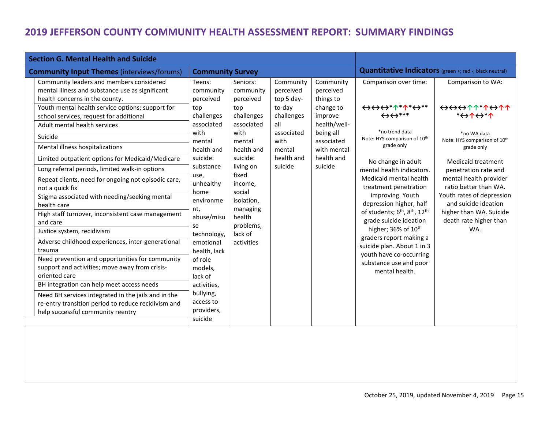<span id="page-14-0"></span>

| <b>Section G. Mental Health and Suicide</b>                                                                                                                                                                                                                                                                                                                                                                                                                                                                                                                                                                                                                                                                                                                                                                                                                                                                                                                                                                                                    |                                                                                                                                                                                                                                                                                                                                                  |                                                                                                                                                                                                                                        |                                                                                                                              |                                                                                                                                                |                                                                                                                                                                                                                                                                                                                                                                                                                                                                                                                                                                                |                                                                                                                                                                                                                                                                                                                                  |  |
|------------------------------------------------------------------------------------------------------------------------------------------------------------------------------------------------------------------------------------------------------------------------------------------------------------------------------------------------------------------------------------------------------------------------------------------------------------------------------------------------------------------------------------------------------------------------------------------------------------------------------------------------------------------------------------------------------------------------------------------------------------------------------------------------------------------------------------------------------------------------------------------------------------------------------------------------------------------------------------------------------------------------------------------------|--------------------------------------------------------------------------------------------------------------------------------------------------------------------------------------------------------------------------------------------------------------------------------------------------------------------------------------------------|----------------------------------------------------------------------------------------------------------------------------------------------------------------------------------------------------------------------------------------|------------------------------------------------------------------------------------------------------------------------------|------------------------------------------------------------------------------------------------------------------------------------------------|--------------------------------------------------------------------------------------------------------------------------------------------------------------------------------------------------------------------------------------------------------------------------------------------------------------------------------------------------------------------------------------------------------------------------------------------------------------------------------------------------------------------------------------------------------------------------------|----------------------------------------------------------------------------------------------------------------------------------------------------------------------------------------------------------------------------------------------------------------------------------------------------------------------------------|--|
| <b>Community Input Themes (interviews/forums)</b>                                                                                                                                                                                                                                                                                                                                                                                                                                                                                                                                                                                                                                                                                                                                                                                                                                                                                                                                                                                              | <b>Community Survey</b>                                                                                                                                                                                                                                                                                                                          |                                                                                                                                                                                                                                        |                                                                                                                              |                                                                                                                                                | Quantitative Indicators (green +; red -; black neutral)                                                                                                                                                                                                                                                                                                                                                                                                                                                                                                                        |                                                                                                                                                                                                                                                                                                                                  |  |
| Community leaders and members considered<br>mental illness and substance use as significant<br>health concerns in the county.<br>Youth mental health service options; support for<br>school services, request for additional<br>Adult mental health services<br>Suicide<br>Mental illness hospitalizations<br>Limited outpatient options for Medicaid/Medicare<br>Long referral periods, limited walk-in options<br>Repeat clients, need for ongoing not episodic care,<br>not a quick fix<br>Stigma associated with needing/seeking mental<br>health care<br>High staff turnover, inconsistent case management<br>and care<br>Justice system, recidivism<br>Adverse childhood experiences, inter-generational<br>trauma<br>Need prevention and opportunities for community<br>support and activities; move away from crisis-<br>oriented care<br>BH integration can help meet access needs<br>Need BH services integrated in the jails and in the<br>re-entry transition period to reduce recidivism and<br>help successful community reentry | Teens:<br>community<br>perceived<br>top<br>challenges<br>associated<br>with<br>mental<br>health and<br>suicide:<br>substance<br>use,<br>unhealthy<br>home<br>environme<br>nt,<br>abuse/misu<br>se<br>technology,<br>emotional<br>health, lack<br>of role<br>models,<br>lack of<br>activities,<br>bullying,<br>access to<br>providers,<br>suicide | Seniors:<br>community<br>perceived<br>top<br>challenges<br>associated<br>with<br>mental<br>health and<br>suicide:<br>living on<br>fixed<br>income,<br>social<br>isolation,<br>managing<br>health<br>problems,<br>lack of<br>activities | Community<br>perceived<br>top 5 day-<br>to-day<br>challenges<br>all<br>associated<br>with<br>mental<br>health and<br>suicide | Community<br>perceived<br>things to<br>change to<br>improve<br>health/well-<br>being all<br>associated<br>with mental<br>health and<br>suicide | Comparison over time:<br>↔↔↔ * ↑ * ↑ * ← * *<br>$\leftrightarrow$ $\leftrightarrow$ ***<br>*no trend data<br>Note: HYS comparison of 10th<br>grade only<br>No change in adult<br>mental health indicators.<br>Medicaid mental health<br>treatment penetration<br>improving. Youth<br>depression higher, half<br>of students; 6 <sup>th</sup> , 8 <sup>th</sup> , 12 <sup>th</sup><br>grade suicide ideation<br>higher; 36% of 10 <sup>th</sup><br>graders report making a<br>suicide plan. About 1 in 3<br>youth have co-occurring<br>substance use and poor<br>mental health. | Comparison to WA:<br>***********<br><b>*AAAA*</b><br>*no WA data<br>Note: HYS comparison of 10th<br>grade only<br>Medicaid treatment<br>penetration rate and<br>mental health provider<br>ratio better than WA.<br>Youth rates of depression<br>and suicide ideation<br>higher than WA. Suicide<br>death rate higher than<br>WA. |  |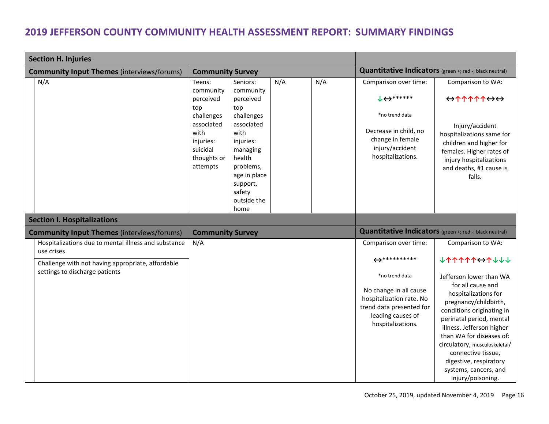<span id="page-15-1"></span><span id="page-15-0"></span>

| <b>Section H. Injuries</b>                                                          |                                                                                                                                 |                                                                                                                                                                                            |     |     |                                                                                                                                                                             |                                                                                                                                                                                                                                                                                                                                                                       |  |
|-------------------------------------------------------------------------------------|---------------------------------------------------------------------------------------------------------------------------------|--------------------------------------------------------------------------------------------------------------------------------------------------------------------------------------------|-----|-----|-----------------------------------------------------------------------------------------------------------------------------------------------------------------------------|-----------------------------------------------------------------------------------------------------------------------------------------------------------------------------------------------------------------------------------------------------------------------------------------------------------------------------------------------------------------------|--|
| <b>Community Input Themes (interviews/forums)</b>                                   | <b>Community Survey</b>                                                                                                         |                                                                                                                                                                                            |     |     | Quantitative Indicators (green +; red -; black neutral)                                                                                                                     |                                                                                                                                                                                                                                                                                                                                                                       |  |
| N/A                                                                                 | Teens:<br>community<br>perceived<br>top<br>challenges<br>associated<br>with<br>injuries:<br>suicidal<br>thoughts or<br>attempts | Seniors:<br>community<br>perceived<br>top<br>challenges<br>associated<br>with<br>injuries:<br>managing<br>health<br>problems,<br>age in place<br>support,<br>safety<br>outside the<br>home | N/A | N/A | Comparison over time:<br>$\downarrow$ $\leftrightarrow$ *******<br>*no trend data<br>Decrease in child, no<br>change in female<br>injury/accident<br>hospitalizations.      | Comparison to WA:<br>$\leftrightarrow \uparrow \uparrow \uparrow \uparrow \uparrow \leftrightarrow \leftrightarrow$<br>Injury/accident<br>hospitalizations same for<br>children and higher for<br>females. Higher rates of<br>injury hospitalizations<br>and deaths, #1 cause is<br>falls.                                                                            |  |
| <b>Section I. Hospitalizations</b>                                                  |                                                                                                                                 |                                                                                                                                                                                            |     |     |                                                                                                                                                                             |                                                                                                                                                                                                                                                                                                                                                                       |  |
| <b>Community Input Themes (interviews/forums)</b>                                   | <b>Community Survey</b>                                                                                                         |                                                                                                                                                                                            |     |     | Quantitative Indicators (green +; red -; black neutral)                                                                                                                     |                                                                                                                                                                                                                                                                                                                                                                       |  |
| Hospitalizations due to mental illness and substance<br>use crises                  | N/A                                                                                                                             |                                                                                                                                                                                            |     |     | Comparison over time:                                                                                                                                                       | Comparison to WA:                                                                                                                                                                                                                                                                                                                                                     |  |
| Challenge with not having appropriate, affordable<br>settings to discharge patients |                                                                                                                                 |                                                                                                                                                                                            |     |     | $\leftrightarrow$ ***********<br>*no trend data<br>No change in all cause<br>hospitalization rate. No<br>trend data presented for<br>leading causes of<br>hospitalizations. | <b>V14477447777</b><br>Jefferson lower than WA<br>for all cause and<br>hospitalizations for<br>pregnancy/childbirth,<br>conditions originating in<br>perinatal period, mental<br>illness. Jefferson higher<br>than WA for diseases of:<br>circulatory, musculoskeletal/<br>connective tissue,<br>digestive, respiratory<br>systems, cancers, and<br>injury/poisoning. |  |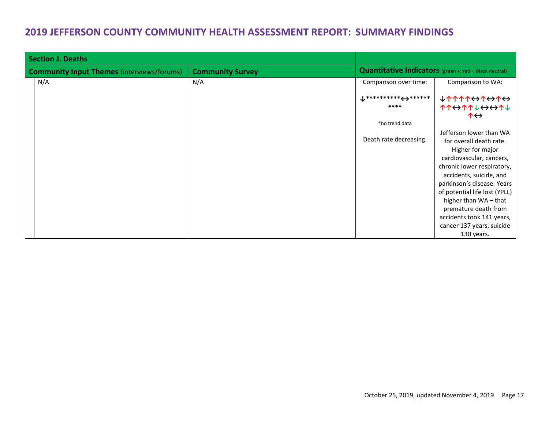<span id="page-16-0"></span>

| <b>Section J. Deaths</b>                                                     |     |                                                                |                                                                                   |  |
|------------------------------------------------------------------------------|-----|----------------------------------------------------------------|-----------------------------------------------------------------------------------|--|
| <b>Community Survey</b><br><b>Community Input Themes (interviews/forums)</b> |     | <b>Quantitative Indicators</b> (green +; red -; black neutral) |                                                                                   |  |
| N/A                                                                          | N/A | Comparison over time:                                          | Comparison to WA:                                                                 |  |
|                                                                              |     | $\downarrow$ *********** <del>&lt;&gt;</del> ******<br>****    | <b>↓↑↑↑↑↔↑↔↑↔</b><br>↑↑↔↑↑↓↔↔↑↓<br>$\uparrow \leftrightarrow$                     |  |
|                                                                              |     | *no trend data                                                 |                                                                                   |  |
|                                                                              |     | Death rate decreasing.                                         | Jefferson lower than WA<br>for overall death rate.<br>Higher for major            |  |
|                                                                              |     |                                                                | cardiovascular, cancers,<br>chronic lower respiratory,<br>accidents, suicide, and |  |
|                                                                              |     |                                                                | parkinson's disease. Years                                                        |  |
|                                                                              |     |                                                                | of potential life lost (YPLL)                                                     |  |
|                                                                              |     |                                                                | higher than WA-that                                                               |  |
|                                                                              |     |                                                                | premature death from                                                              |  |
|                                                                              |     |                                                                | accidents took 141 years,                                                         |  |
|                                                                              |     |                                                                | cancer 137 years, suicide                                                         |  |
|                                                                              |     |                                                                | 130 years.                                                                        |  |